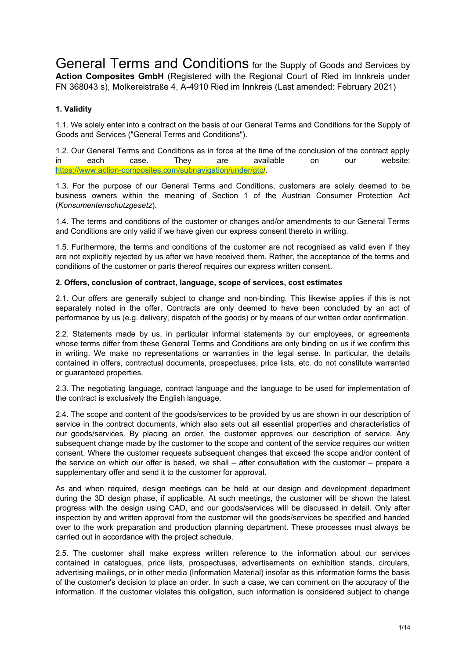General Terms and Conditions for the Supply of Goods and Services by **Action Composites GmbH** (Registered with the Regional Court of Ried im Innkreis under FN 368043 s), Molkereistraße 4, A-4910 Ried im Innkreis (Last amended: February 2021)

# **1. Validity**

1.1. We solely enter into a contract on the basis of our General Terms and Conditions for the Supply of Goods and Services ("General Terms and Conditions").

1.2. Our General Terms and Conditions as in force at the time of the conclusion of the contract apply in each case. They are available on our website: [https://www.action-composites.com/subnavigation/under/gtc/](https://www.action-composites.com/subnavigation/under/gtc).

1.3. For the purpose of our General Terms and Conditions, customers are solely deemed to be business owners within the meaning of Section 1 of the Austrian Consumer Protection Act (*Konsumentenschutzgesetz*).

1.4. The terms and conditions of the customer or changes and/or amendments to our General Terms and Conditions are only valid if we have given our express consent thereto in writing.

1.5. Furthermore, the terms and conditions of the customer are not recognised as valid even if they are not explicitly rejected by us after we have received them. Rather, the acceptance of the terms and conditions of the customer or parts thereof requires our express written consent.

#### **2. Offers, conclusion of contract, language, scope of services, cost estimates**

2.1. Our offers are generally subject to change and non-binding. This likewise applies if this is not separately noted in the offer. Contracts are only deemed to have been concluded by an act of performance by us (e.g. delivery, dispatch of the goods) or by means of our written order confirmation.

2.2. Statements made by us, in particular informal statements by our employees, or agreements whose terms differ from these General Terms and Conditions are only binding on us if we confirm this in writing. We make no representations or warranties in the legal sense. In particular, the details contained in offers, contractual documents, prospectuses, price lists, etc. do not constitute warranted or guaranteed properties.

2.3. The negotiating language, contract language and the language to be used for implementation of the contract is exclusively the English language.

2.4. The scope and content of the goods/services to be provided by us are shown in our description of service in the contract documents, which also sets out all essential properties and characteristics of our goods/services. By placing an order, the customer approves our description of service. Any subsequent change made by the customer to the scope and content of the service requires our written consent. Where the customer requests subsequent changes that exceed the scope and/or content of the service on which our offer is based, we shall – after consultation with the customer – prepare a supplementary offer and send it to the customer for approval.

As and when required, design meetings can be held at our design and development department during the 3D design phase, if applicable. At such meetings, the customer will be shown the latest progress with the design using CAD, and our goods/services will be discussed in detail. Only after inspection by and written approval from the customer will the goods/services be specified and handed over to the work preparation and production planning department. These processes must always be carried out in accordance with the project schedule.

2.5. The customer shall make express written reference to the information about our services contained in catalogues, price lists, prospectuses, advertisements on exhibition stands, circulars, advertising mailings, or in other media (Information Material) insofar as this information forms the basis of the customer's decision to place an order. In such a case, we can comment on the accuracy of the information. If the customer violates this obligation, such information is considered subject to change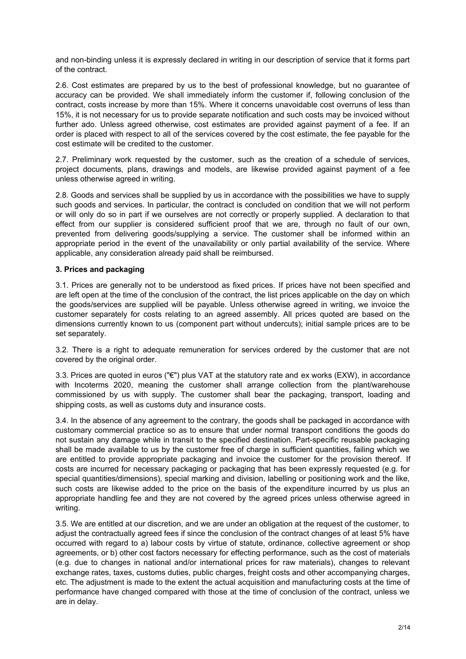and non-binding unless it is expressly declared in writing in our description of service that it forms part of the contract.

2.6. Cost estimates are prepared by us to the best of professional knowledge, but no guarantee of accuracy can be provided. We shall immediately inform the customer if, following conclusion of the contract, costs increase by more than 15%. Where it concerns unavoidable cost overruns of less than 15%, it is not necessary for us to provide separate notification and such costs may be invoiced without further ado. Unless agreed otherwise, cost estimates are provided against payment of a fee. If an order is placed with respect to all of the services covered by the cost estimate, the fee payable for the cost estimate will be credited to the customer.

2.7. Preliminary work requested by the customer, such as the creation of a schedule of services, project documents, plans, drawings and models, are likewise provided against payment of a fee unless otherwise agreed in writing.

2.8. Goods and services shall be supplied by us in accordance with the possibilities we have to supply such goods and services. In particular, the contract is concluded on condition that we will not perform or will only do so in part if we ourselves are not correctly or properly supplied. A declaration to that effect from our supplier is considered sufficient proof that we are, through no fault of our own, prevented from delivering goods/supplying a service. The customer shall be informed within an appropriate period in the event of the unavailability or only partial availability of the service. Where applicable, any consideration already paid shall be reimbursed.

### **3. Prices and packaging**

3.1. Prices are generally not to be understood as fixed prices. If prices have not been specified and are left open at the time of the conclusion of the contract, the list prices applicable on the day on which the goods/services are supplied will be payable. Unless otherwise agreed in writing, we invoice the customer separately for costs relating to an agreed assembly. All prices quoted are based on the dimensions currently known to us (component part without undercuts); initial sample prices are to be set separately.

3.2. There is a right to adequate remuneration for services ordered by the customer that are not covered by the original order.

3.3. Prices are quoted in euros ("€") plus VAT at the statutory rate and ex works (EXW), in accordance with Incoterms 2020, meaning the customer shall arrange collection from the plant/warehouse commissioned by us with supply. The customer shall bear the packaging, transport, loading and shipping costs, as well as customs duty and insurance costs.

3.4. In the absence of any agreement to the contrary, the goods shall be packaged in accordance with customary commercial practice so as to ensure that under normal transport conditions the goods do not sustain any damage while in transit to the specified destination. Part-specific reusable packaging shall be made available to us by the customer free of charge in sufficient quantities, failing which we are entitled to provide appropriate packaging and invoice the customer for the provision thereof. If costs are incurred for necessary packaging or packaging that has been expressly requested (e.g. for special quantities/dimensions), special marking and division, labelling or positioning work and the like, such costs are likewise added to the price on the basis of the expenditure incurred by us plus an appropriate handling fee and they are not covered by the agreed prices unless otherwise agreed in writing.

3.5. We are entitled at our discretion, and we are under an obligation at the request of the customer, to adjust the contractually agreed fees if since the conclusion of the contract changes of at least 5% have occurred with regard to a) labour costs by virtue of statute, ordinance, collective agreement or shop agreements, or b) other cost factors necessary for effecting performance, such as the cost of materials (e.g. due to changes in national and/or international prices for raw materials), changes to relevant exchange rates, taxes, customs duties, public charges, freight costs and other accompanying charges, etc. The adjustment is made to the extent the actual acquisition and manufacturing costs at the time of performance have changed compared with those at the time of conclusion of the contract, unless we are in delay.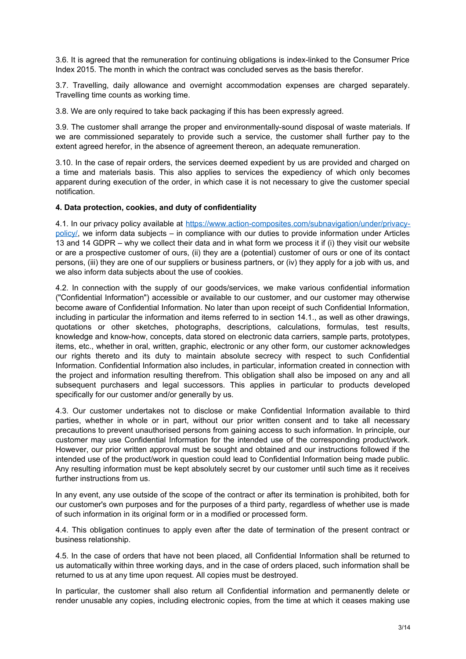3.6. It is agreed that the remuneration for continuing obligations is index-linked to the Consumer Price Index 2015. The month in which the contract was concluded serves as the basis therefor.

3.7. Travelling, daily allowance and overnight accommodation expenses are charged separately. Travelling time counts as working time.

3.8. We are only required to take back packaging if this has been expressly agreed.

3.9. The customer shall arrange the proper and environmentally-sound disposal of waste materials. If we are commissioned separately to provide such a service, the customer shall further pay to the extent agreed herefor, in the absence of agreement thereon, an adequate remuneration.

3.10. In the case of repair orders, the services deemed expedient by us are provided and charged on a time and materials basis. This also applies to services the expediency of which only becomes apparent during execution of the order, in which case it is not necessary to give the customer special notification.

#### **4. Data protection, cookies, and duty of confidentiality**

4.1. In our privacy policy available at [https://www.action-composites.com/subnavigation/under/privacy](https://www.action-composites.com/subnavigation/under/privacy-policy/)[policy/](https://www.action-composites.com/subnavigation/under/privacy-policy/), we inform data subjects – in compliance with our duties to provide information under Articles 13 and 14 GDPR – why we collect their data and in what form we process it if (i) they visit our website or are a prospective customer of ours, (ii) they are a (potential) customer of ours or one of its contact persons, (iii) they are one of our suppliers or business partners, or (iv) they apply for a job with us, and we also inform data subjects about the use of cookies.

4.2. In connection with the supply of our goods/services, we make various confidential information ("Confidential Information") accessible or available to our customer, and our customer may otherwise become aware of Confidential Information. No later than upon receipt of such Confidential Information, including in particular the information and items referred to in section 14.1., as well as other drawings, quotations or other sketches, photographs, descriptions, calculations, formulas, test results, knowledge and know-how, concepts, data stored on electronic data carriers, sample parts, prototypes, items, etc., whether in oral, written, graphic, electronic or any other form, our customer acknowledges our rights thereto and its duty to maintain absolute secrecy with respect to such Confidential Information. Confidential Information also includes, in particular, information created in connection with the project and information resulting therefrom. This obligation shall also be imposed on any and all subsequent purchasers and legal successors. This applies in particular to products developed specifically for our customer and/or generally by us.

4.3. Our customer undertakes not to disclose or make Confidential Information available to third parties, whether in whole or in part, without our prior written consent and to take all necessary precautions to prevent unauthorised persons from gaining access to such information. In principle, our customer may use Confidential Information for the intended use of the corresponding product/work. However, our prior written approval must be sought and obtained and our instructions followed if the intended use of the product/work in question could lead to Confidential Information being made public. Any resulting information must be kept absolutely secret by our customer until such time as it receives further instructions from us.

In any event, any use outside of the scope of the contract or after its termination is prohibited, both for our customer's own purposes and for the purposes of a third party, regardless of whether use is made of such information in its original form or in a modified or processed form.

4.4. This obligation continues to apply even after the date of termination of the present contract or business relationship.

4.5. In the case of orders that have not been placed, all Confidential Information shall be returned to us automatically within three working days, and in the case of orders placed, such information shall be returned to us at any time upon request. All copies must be destroyed.

In particular, the customer shall also return all Confidential information and permanently delete or render unusable any copies, including electronic copies, from the time at which it ceases making use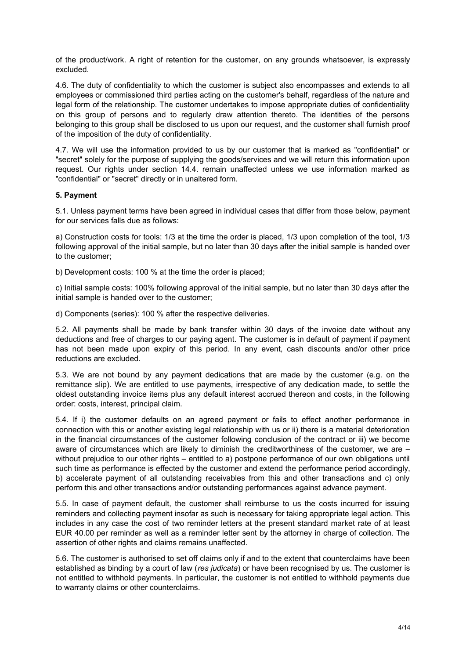of the product/work. A right of retention for the customer, on any grounds whatsoever, is expressly excluded.

4.6. The duty of confidentiality to which the customer is subject also encompasses and extends to all employees or commissioned third parties acting on the customer's behalf, regardless of the nature and legal form of the relationship. The customer undertakes to impose appropriate duties of confidentiality on this group of persons and to regularly draw attention thereto. The identities of the persons belonging to this group shall be disclosed to us upon our request, and the customer shall furnish proof of the imposition of the duty of confidentiality.

4.7. We will use the information provided to us by our customer that is marked as "confidential" or "secret" solely for the purpose of supplying the goods/services and we will return this information upon request. Our rights under section 14.4. remain unaffected unless we use information marked as "confidential" or "secret" directly or in unaltered form.

#### **5. Payment**

5.1. Unless payment terms have been agreed in individual cases that differ from those below, payment for our services falls due as follows:

a) Construction costs for tools: 1/3 at the time the order is placed, 1/3 upon completion of the tool, 1/3 following approval of the initial sample, but no later than 30 days after the initial sample is handed over to the customer;

b) Development costs: 100 % at the time the order is placed;

c) Initial sample costs: 100% following approval of the initial sample, but no later than 30 days after the initial sample is handed over to the customer;

d) Components (series): 100 % after the respective deliveries.

5.2. All payments shall be made by bank transfer within 30 days of the invoice date without any deductions and free of charges to our paying agent. The customer is in default of payment if payment has not been made upon expiry of this period. In any event, cash discounts and/or other price reductions are excluded.

5.3. We are not bound by any payment dedications that are made by the customer (e.g. on the remittance slip). We are entitled to use payments, irrespective of any dedication made, to settle the oldest outstanding invoice items plus any default interest accrued thereon and costs, in the following order: costs, interest, principal claim.

5.4. If i) the customer defaults on an agreed payment or fails to effect another performance in connection with this or another existing legal relationship with us or ii) there is a material deterioration in the financial circumstances of the customer following conclusion of the contract or iii) we become aware of circumstances which are likely to diminish the creditworthiness of the customer, we are – without prejudice to our other rights – entitled to a) postpone performance of our own obligations until such time as performance is effected by the customer and extend the performance period accordingly, b) accelerate payment of all outstanding receivables from this and other transactions and c) only perform this and other transactions and/or outstanding performances against advance payment.

5.5. In case of payment default, the customer shall reimburse to us the costs incurred for issuing reminders and collecting payment insofar as such is necessary for taking appropriate legal action. This includes in any case the cost of two reminder letters at the present standard market rate of at least EUR 40.00 per reminder as well as a reminder letter sent by the attorney in charge of collection. The assertion of other rights and claims remains unaffected.

5.6. The customer is authorised to set off claims only if and to the extent that counterclaims have been established as binding by a court of law (*res judicata*) or have been recognised by us. The customer is not entitled to withhold payments. In particular, the customer is not entitled to withhold payments due to warranty claims or other counterclaims.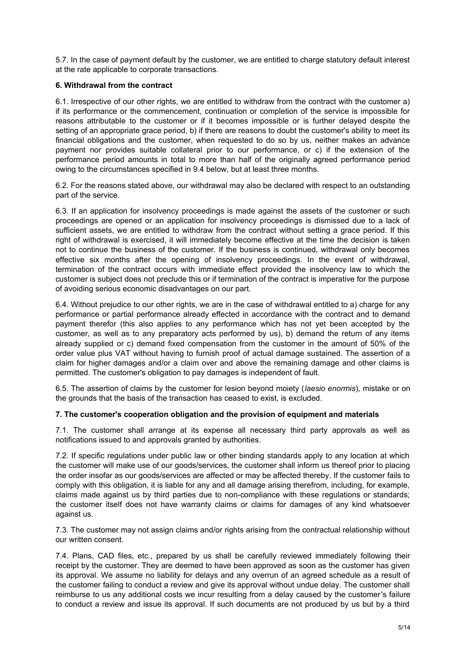5.7. In the case of payment default by the customer, we are entitled to charge statutory default interest at the rate applicable to corporate transactions.

## **6. Withdrawal from the contract**

6.1. Irrespective of our other rights, we are entitled to withdraw from the contract with the customer a) if its performance or the commencement, continuation or completion of the service is impossible for reasons attributable to the customer or if it becomes impossible or is further delayed despite the setting of an appropriate grace period, b) if there are reasons to doubt the customer's ability to meet its financial obligations and the customer, when requested to do so by us, neither makes an advance payment nor provides suitable collateral prior to our performance, or c) if the extension of the performance period amounts in total to more than half of the originally agreed performance period owing to the circumstances specified in 9.4 below, but at least three months.

6.2. For the reasons stated above, our withdrawal may also be declared with respect to an outstanding part of the service.

6.3. If an application for insolvency proceedings is made against the assets of the customer or such proceedings are opened or an application for insolvency proceedings is dismissed due to a lack of sufficient assets, we are entitled to withdraw from the contract without setting a grace period. If this right of withdrawal is exercised, it will immediately become effective at the time the decision is taken not to continue the business of the customer. If the business is continued, withdrawal only becomes effective six months after the opening of insolvency proceedings. In the event of withdrawal, termination of the contract occurs with immediate effect provided the insolvency law to which the customer is subject does not preclude this or if termination of the contract is imperative for the purpose of avoiding serious economic disadvantages on our part.

6.4. Without prejudice to our other rights, we are in the case of withdrawal entitled to a) charge for any performance or partial performance already effected in accordance with the contract and to demand payment therefor (this also applies to any performance which has not yet been accepted by the customer, as well as to any preparatory acts performed by us), b) demand the return of any items already supplied or c) demand fixed compensation from the customer in the amount of 50% of the order value plus VAT without having to furnish proof of actual damage sustained. The assertion of a claim for higher damages and/or a claim over and above the remaining damage and other claims is permitted. The customer's obligation to pay damages is independent of fault.

6.5. The assertion of claims by the customer for lesion beyond moiety (*laesio enormis*), mistake or on the grounds that the basis of the transaction has ceased to exist, is excluded.

### **7. The customer's cooperation obligation and the provision of equipment and materials**

7.1. The customer shall arrange at its expense all necessary third party approvals as well as notifications issued to and approvals granted by authorities.

7.2. If specific regulations under public law or other binding standards apply to any location at which the customer will make use of our goods/services, the customer shall inform us thereof prior to placing the order insofar as our goods/services are affected or may be affected thereby. If the customer fails to comply with this obligation, it is liable for any and all damage arising therefrom, including, for example, claims made against us by third parties due to non-compliance with these regulations or standards; the customer itself does not have warranty claims or claims for damages of any kind whatsoever against us.

7.3. The customer may not assign claims and/or rights arising from the contractual relationship without our written consent.

7.4. Plans, CAD files, etc., prepared by us shall be carefully reviewed immediately following their receipt by the customer. They are deemed to have been approved as soon as the customer has given its approval. We assume no liability for delays and any overrun of an agreed schedule as a result of the customer failing to conduct a review and give its approval without undue delay. The customer shall reimburse to us any additional costs we incur resulting from a delay caused by the customer's failure to conduct a review and issue its approval. If such documents are not produced by us but by a third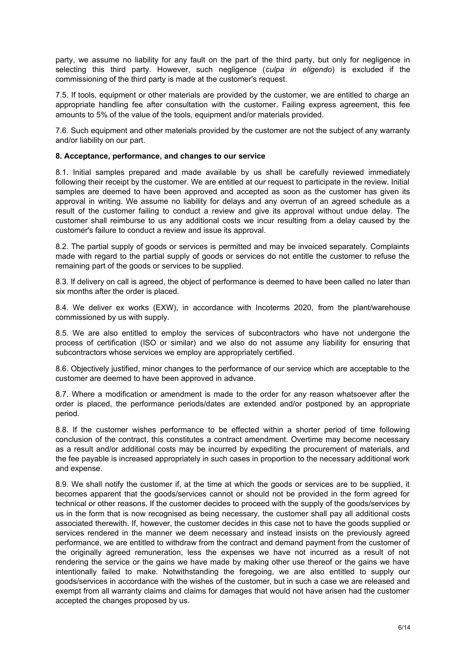party, we assume no liability for any fault on the part of the third party, but only for negligence in selecting this third party. However, such negligence (*culpa in eligendo*) is excluded if the commissioning of the third party is made at the customer's request.

7.5. If tools, equipment or other materials are provided by the customer, we are entitled to charge an appropriate handling fee after consultation with the customer. Failing express agreement, this fee amounts to 5% of the value of the tools, equipment and/or materials provided.

7.6. Such equipment and other materials provided by the customer are not the subject of any warranty and/or liability on our part.

### **8. Acceptance, performance, and changes to our service**

8.1. Initial samples prepared and made available by us shall be carefully reviewed immediately following their receipt by the customer. We are entitled at our request to participate in the review. Initial samples are deemed to have been approved and accepted as soon as the customer has given its approval in writing. We assume no liability for delays and any overrun of an agreed schedule as a result of the customer failing to conduct a review and give its approval without undue delay. The customer shall reimburse to us any additional costs we incur resulting from a delay caused by the customer's failure to conduct a review and issue its approval.

8.2. The partial supply of goods or services is permitted and may be invoiced separately. Complaints made with regard to the partial supply of goods or services do not entitle the customer to refuse the remaining part of the goods or services to be supplied.

8.3. If delivery on call is agreed, the object of performance is deemed to have been called no later than six months after the order is placed.

8.4. We deliver ex works (EXW), in accordance with Incoterms 2020, from the plant/warehouse commissioned by us with supply.

8.5. We are also entitled to employ the services of subcontractors who have not undergone the process of certification (ISO or similar) and we also do not assume any liability for ensuring that subcontractors whose services we employ are appropriately certified.

8.6. Objectively justified, minor changes to the performance of our service which are acceptable to the customer are deemed to have been approved in advance.

8.7. Where a modification or amendment is made to the order for any reason whatsoever after the order is placed, the performance periods/dates are extended and/or postponed by an appropriate period.

8.8. If the customer wishes performance to be effected within a shorter period of time following conclusion of the contract, this constitutes a contract amendment. Overtime may become necessary as a result and/or additional costs may be incurred by expediting the procurement of materials, and the fee payable is increased appropriately in such cases in proportion to the necessary additional work and expense.

8.9. We shall notify the customer if, at the time at which the goods or services are to be supplied, it becomes apparent that the goods/services cannot or should not be provided in the form agreed for technical or other reasons. If the customer decides to proceed with the supply of the goods/services by us in the form that is now recognised as being necessary, the customer shall pay all additional costs associated therewith. If, however, the customer decides in this case not to have the goods supplied or services rendered in the manner we deem necessary and instead insists on the previously agreed performance, we are entitled to withdraw from the contract and demand payment from the customer of the originally agreed remuneration, less the expenses we have not incurred as a result of not rendering the service or the gains we have made by making other use thereof or the gains we have intentionally failed to make. Notwithstanding the foregoing, we are also entitled to supply our goods/services in accordance with the wishes of the customer, but in such a case we are released and exempt from all warranty claims and claims for damages that would not have arisen had the customer accepted the changes proposed by us.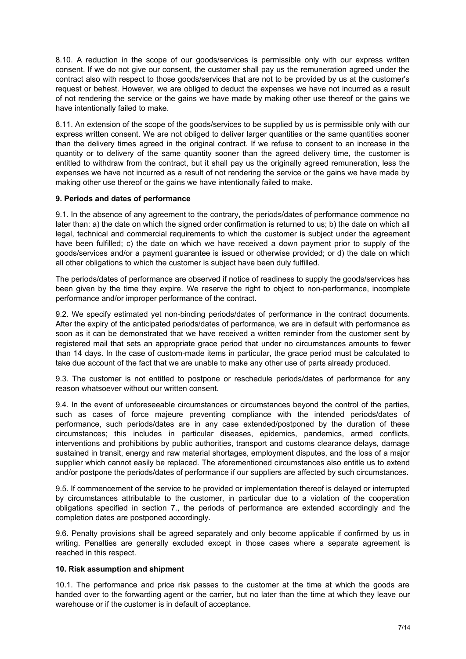8.10. A reduction in the scope of our goods/services is permissible only with our express written consent. If we do not give our consent, the customer shall pay us the remuneration agreed under the contract also with respect to those goods/services that are not to be provided by us at the customer's request or behest. However, we are obliged to deduct the expenses we have not incurred as a result of not rendering the service or the gains we have made by making other use thereof or the gains we have intentionally failed to make.

8.11. An extension of the scope of the goods/services to be supplied by us is permissible only with our express written consent. We are not obliged to deliver larger quantities or the same quantities sooner than the delivery times agreed in the original contract. If we refuse to consent to an increase in the quantity or to delivery of the same quantity sooner than the agreed delivery time, the customer is entitled to withdraw from the contract, but it shall pay us the originally agreed remuneration, less the expenses we have not incurred as a result of not rendering the service or the gains we have made by making other use thereof or the gains we have intentionally failed to make.

### **9. Periods and dates of performance**

9.1. In the absence of any agreement to the contrary, the periods/dates of performance commence no later than: a) the date on which the signed order confirmation is returned to us; b) the date on which all legal, technical and commercial requirements to which the customer is subject under the agreement have been fulfilled; c) the date on which we have received a down payment prior to supply of the goods/services and/or a payment guarantee is issued or otherwise provided; or d) the date on which all other obligations to which the customer is subject have been duly fulfilled.

The periods/dates of performance are observed if notice of readiness to supply the goods/services has been given by the time they expire. We reserve the right to object to non-performance, incomplete performance and/or improper performance of the contract.

9.2. We specify estimated yet non-binding periods/dates of performance in the contract documents. After the expiry of the anticipated periods/dates of performance, we are in default with performance as soon as it can be demonstrated that we have received a written reminder from the customer sent by registered mail that sets an appropriate grace period that under no circumstances amounts to fewer than 14 days. In the case of custom-made items in particular, the grace period must be calculated to take due account of the fact that we are unable to make any other use of parts already produced.

9.3. The customer is not entitled to postpone or reschedule periods/dates of performance for any reason whatsoever without our written consent.

9.4. In the event of unforeseeable circumstances or circumstances beyond the control of the parties, such as cases of force majeure preventing compliance with the intended periods/dates of performance, such periods/dates are in any case extended/postponed by the duration of these circumstances; this includes in particular diseases, epidemics, pandemics, armed conflicts, interventions and prohibitions by public authorities, transport and customs clearance delays, damage sustained in transit, energy and raw material shortages, employment disputes, and the loss of a major supplier which cannot easily be replaced. The aforementioned circumstances also entitle us to extend and/or postpone the periods/dates of performance if our suppliers are affected by such circumstances.

9.5. If commencement of the service to be provided or implementation thereof is delayed or interrupted by circumstances attributable to the customer, in particular due to a violation of the cooperation obligations specified in section 7., the periods of performance are extended accordingly and the completion dates are postponed accordingly.

9.6. Penalty provisions shall be agreed separately and only become applicable if confirmed by us in writing. Penalties are generally excluded except in those cases where a separate agreement is reached in this respect.

### **10. Risk assumption and shipment**

10.1. The performance and price risk passes to the customer at the time at which the goods are handed over to the forwarding agent or the carrier, but no later than the time at which they leave our warehouse or if the customer is in default of acceptance.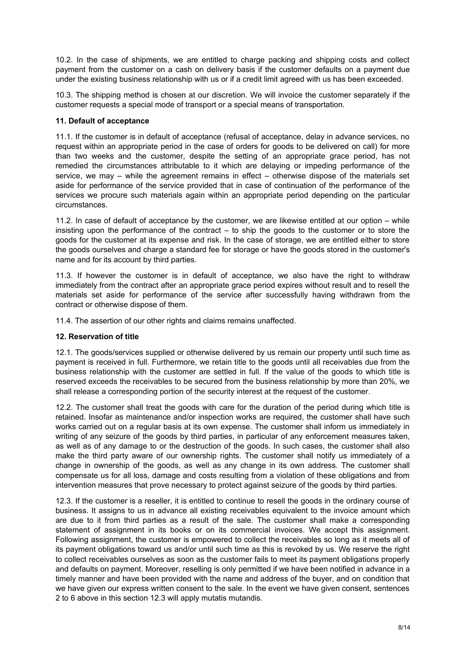10.2. In the case of shipments, we are entitled to charge packing and shipping costs and collect payment from the customer on a cash on delivery basis if the customer defaults on a payment due under the existing business relationship with us or if a credit limit agreed with us has been exceeded.

10.3. The shipping method is chosen at our discretion. We will invoice the customer separately if the customer requests a special mode of transport or a special means of transportation.

### **11. Default of acceptance**

11.1. If the customer is in default of acceptance (refusal of acceptance, delay in advance services, no request within an appropriate period in the case of orders for goods to be delivered on call) for more than two weeks and the customer, despite the setting of an appropriate grace period, has not remedied the circumstances attributable to it which are delaying or impeding performance of the service, we may – while the agreement remains in effect – otherwise dispose of the materials set aside for performance of the service provided that in case of continuation of the performance of the services we procure such materials again within an appropriate period depending on the particular circumstances.

11.2. In case of default of acceptance by the customer, we are likewise entitled at our option – while insisting upon the performance of the contract – to ship the goods to the customer or to store the goods for the customer at its expense and risk. In the case of storage, we are entitled either to store the goods ourselves and charge a standard fee for storage or have the goods stored in the customer's name and for its account by third parties.

11.3. If however the customer is in default of acceptance, we also have the right to withdraw immediately from the contract after an appropriate grace period expires without result and to resell the materials set aside for performance of the service after successfully having withdrawn from the contract or otherwise dispose of them.

11.4. The assertion of our other rights and claims remains unaffected.

### **12. Reservation of title**

12.1. The goods/services supplied or otherwise delivered by us remain our property until such time as payment is received in full. Furthermore, we retain title to the goods until all receivables due from the business relationship with the customer are settled in full. If the value of the goods to which title is reserved exceeds the receivables to be secured from the business relationship by more than 20%, we shall release a corresponding portion of the security interest at the request of the customer.

12.2. The customer shall treat the goods with care for the duration of the period during which title is retained. Insofar as maintenance and/or inspection works are required, the customer shall have such works carried out on a regular basis at its own expense. The customer shall inform us immediately in writing of any seizure of the goods by third parties, in particular of any enforcement measures taken, as well as of any damage to or the destruction of the goods. In such cases, the customer shall also make the third party aware of our ownership rights. The customer shall notify us immediately of a change in ownership of the goods, as well as any change in its own address. The customer shall compensate us for all loss, damage and costs resulting from a violation of these obligations and from intervention measures that prove necessary to protect against seizure of the goods by third parties.

12.3. If the customer is a reseller, it is entitled to continue to resell the goods in the ordinary course of business. It assigns to us in advance all existing receivables equivalent to the invoice amount which are due to it from third parties as a result of the sale. The customer shall make a corresponding statement of assignment in its books or on its commercial invoices. We accept this assignment. Following assignment, the customer is empowered to collect the receivables so long as it meets all of its payment obligations toward us and/or until such time as this is revoked by us. We reserve the right to collect receivables ourselves as soon as the customer fails to meet its payment obligations properly and defaults on payment. Moreover, reselling is only permitted if we have been notified in advance in a timely manner and have been provided with the name and address of the buyer, and on condition that we have given our express written consent to the sale. In the event we have given consent, sentences 2 to 6 above in this section 12.3 will apply mutatis mutandis.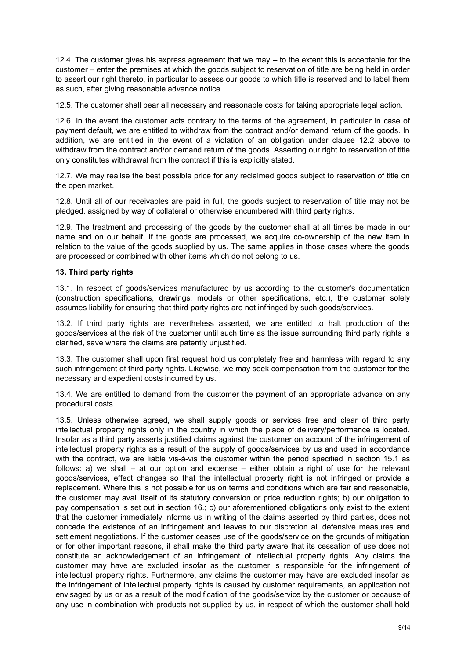12.4. The customer gives his express agreement that we may – to the extent this is acceptable for the customer – enter the premises at which the goods subject to reservation of title are being held in order to assert our right thereto, in particular to assess our goods to which title is reserved and to label them as such, after giving reasonable advance notice.

12.5. The customer shall bear all necessary and reasonable costs for taking appropriate legal action.

12.6. In the event the customer acts contrary to the terms of the agreement, in particular in case of payment default, we are entitled to withdraw from the contract and/or demand return of the goods. In addition, we are entitled in the event of a violation of an obligation under clause 12.2 above to withdraw from the contract and/or demand return of the goods. Asserting our right to reservation of title only constitutes withdrawal from the contract if this is explicitly stated.

12.7. We may realise the best possible price for any reclaimed goods subject to reservation of title on the open market.

12.8. Until all of our receivables are paid in full, the goods subject to reservation of title may not be pledged, assigned by way of collateral or otherwise encumbered with third party rights.

12.9. The treatment and processing of the goods by the customer shall at all times be made in our name and on our behalf. If the goods are processed, we acquire co-ownership of the new item in relation to the value of the goods supplied by us. The same applies in those cases where the goods are processed or combined with other items which do not belong to us.

#### **13. Third party rights**

13.1. In respect of goods/services manufactured by us according to the customer's documentation (construction specifications, drawings, models or other specifications, etc.), the customer solely assumes liability for ensuring that third party rights are not infringed by such goods/services.

13.2. If third party rights are nevertheless asserted, we are entitled to halt production of the goods/services at the risk of the customer until such time as the issue surrounding third party rights is clarified, save where the claims are patently unjustified.

13.3. The customer shall upon first request hold us completely free and harmless with regard to any such infringement of third party rights. Likewise, we may seek compensation from the customer for the necessary and expedient costs incurred by us.

13.4. We are entitled to demand from the customer the payment of an appropriate advance on any procedural costs.

13.5. Unless otherwise agreed, we shall supply goods or services free and clear of third party intellectual property rights only in the country in which the place of delivery/performance is located. Insofar as a third party asserts justified claims against the customer on account of the infringement of intellectual property rights as a result of the supply of goods/services by us and used in accordance with the contract, we are liable vis-à-vis the customer within the period specified in section 15.1 as follows: a) we shall – at our option and expense – either obtain a right of use for the relevant goods/services, effect changes so that the intellectual property right is not infringed or provide a replacement. Where this is not possible for us on terms and conditions which are fair and reasonable, the customer may avail itself of its statutory conversion or price reduction rights; b) our obligation to pay compensation is set out in section 16.; c) our aforementioned obligations only exist to the extent that the customer immediately informs us in writing of the claims asserted by third parties, does not concede the existence of an infringement and leaves to our discretion all defensive measures and settlement negotiations. If the customer ceases use of the goods/service on the grounds of mitigation or for other important reasons, it shall make the third party aware that its cessation of use does not constitute an acknowledgement of an infringement of intellectual property rights. Any claims the customer may have are excluded insofar as the customer is responsible for the infringement of intellectual property rights. Furthermore, any claims the customer may have are excluded insofar as the infringement of intellectual property rights is caused by customer requirements, an application not envisaged by us or as a result of the modification of the goods/service by the customer or because of any use in combination with products not supplied by us, in respect of which the customer shall hold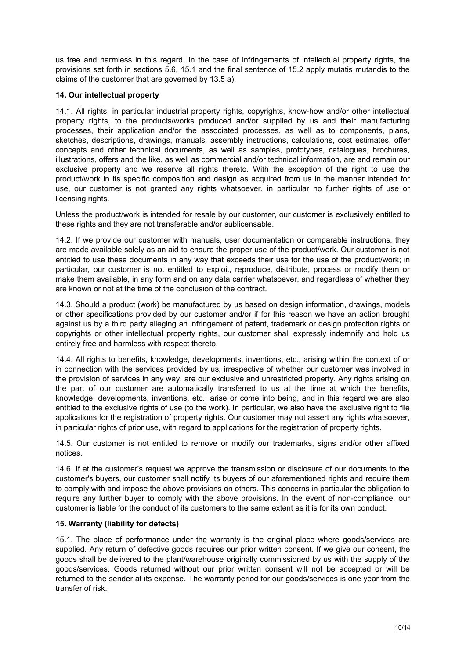us free and harmless in this regard. In the case of infringements of intellectual property rights, the provisions set forth in sections 5.6, 15.1 and the final sentence of 15.2 apply mutatis mutandis to the claims of the customer that are governed by 13.5 a).

## **14. Our intellectual property**

14.1. All rights, in particular industrial property rights, copyrights, know-how and/or other intellectual property rights, to the products/works produced and/or supplied by us and their manufacturing processes, their application and/or the associated processes, as well as to components, plans, sketches, descriptions, drawings, manuals, assembly instructions, calculations, cost estimates, offer concepts and other technical documents, as well as samples, prototypes, catalogues, brochures, illustrations, offers and the like, as well as commercial and/or technical information, are and remain our exclusive property and we reserve all rights thereto. With the exception of the right to use the product/work in its specific composition and design as acquired from us in the manner intended for use, our customer is not granted any rights whatsoever, in particular no further rights of use or licensing rights.

Unless the product/work is intended for resale by our customer, our customer is exclusively entitled to these rights and they are not transferable and/or sublicensable.

14.2. If we provide our customer with manuals, user documentation or comparable instructions, they are made available solely as an aid to ensure the proper use of the product/work. Our customer is not entitled to use these documents in any way that exceeds their use for the use of the product/work; in particular, our customer is not entitled to exploit, reproduce, distribute, process or modify them or make them available, in any form and on any data carrier whatsoever, and regardless of whether they are known or not at the time of the conclusion of the contract.

14.3. Should a product (work) be manufactured by us based on design information, drawings, models or other specifications provided by our customer and/or if for this reason we have an action brought against us by a third party alleging an infringement of patent, trademark or design protection rights or copyrights or other intellectual property rights, our customer shall expressly indemnify and hold us entirely free and harmless with respect thereto.

14.4. All rights to benefits, knowledge, developments, inventions, etc., arising within the context of or in connection with the services provided by us, irrespective of whether our customer was involved in the provision of services in any way, are our exclusive and unrestricted property. Any rights arising on the part of our customer are automatically transferred to us at the time at which the benefits, knowledge, developments, inventions, etc., arise or come into being, and in this regard we are also entitled to the exclusive rights of use (to the work). In particular, we also have the exclusive right to file applications for the registration of property rights. Our customer may not assert any rights whatsoever, in particular rights of prior use, with regard to applications for the registration of property rights.

14.5. Our customer is not entitled to remove or modify our trademarks, signs and/or other affixed notices.

14.6. If at the customer's request we approve the transmission or disclosure of our documents to the customer's buyers, our customer shall notify its buyers of our aforementioned rights and require them to comply with and impose the above provisions on others. This concerns in particular the obligation to require any further buyer to comply with the above provisions. In the event of non-compliance, our customer is liable for the conduct of its customers to the same extent as it is for its own conduct.

### **15. Warranty (liability for defects)**

15.1. The place of performance under the warranty is the original place where goods/services are supplied. Any return of defective goods requires our prior written consent. If we give our consent, the goods shall be delivered to the plant/warehouse originally commissioned by us with the supply of the goods/services. Goods returned without our prior written consent will not be accepted or will be returned to the sender at its expense. The warranty period for our goods/services is one year from the transfer of risk.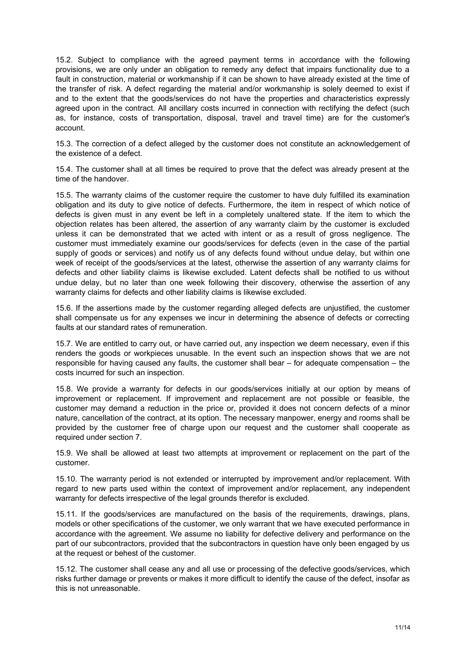15.2. Subject to compliance with the agreed payment terms in accordance with the following provisions, we are only under an obligation to remedy any defect that impairs functionality due to a fault in construction, material or workmanship if it can be shown to have already existed at the time of the transfer of risk. A defect regarding the material and/or workmanship is solely deemed to exist if and to the extent that the goods/services do not have the properties and characteristics expressly agreed upon in the contract. All ancillary costs incurred in connection with rectifying the defect (such as, for instance, costs of transportation, disposal, travel and travel time) are for the customer's account.

15.3. The correction of a defect alleged by the customer does not constitute an acknowledgement of the existence of a defect.

15.4. The customer shall at all times be required to prove that the defect was already present at the time of the handover.

15.5. The warranty claims of the customer require the customer to have duly fulfilled its examination obligation and its duty to give notice of defects. Furthermore, the item in respect of which notice of defects is given must in any event be left in a completely unaltered state. If the item to which the objection relates has been altered, the assertion of any warranty claim by the customer is excluded unless it can be demonstrated that we acted with intent or as a result of gross negligence. The customer must immediately examine our goods/services for defects (even in the case of the partial supply of goods or services) and notify us of any defects found without undue delay, but within one week of receipt of the goods/services at the latest, otherwise the assertion of any warranty claims for defects and other liability claims is likewise excluded. Latent defects shall be notified to us without undue delay, but no later than one week following their discovery, otherwise the assertion of any warranty claims for defects and other liability claims is likewise excluded.

15.6. If the assertions made by the customer regarding alleged defects are unjustified, the customer shall compensate us for any expenses we incur in determining the absence of defects or correcting faults at our standard rates of remuneration.

15.7. We are entitled to carry out, or have carried out, any inspection we deem necessary, even if this renders the goods or workpieces unusable. In the event such an inspection shows that we are not responsible for having caused any faults, the customer shall bear – for adequate compensation – the costs incurred for such an inspection.

15.8. We provide a warranty for defects in our goods/services initially at our option by means of improvement or replacement. If improvement and replacement are not possible or feasible, the customer may demand a reduction in the price or, provided it does not concern defects of a minor nature, cancellation of the contract, at its option. The necessary manpower, energy and rooms shall be provided by the customer free of charge upon our request and the customer shall cooperate as required under section 7.

15.9. We shall be allowed at least two attempts at improvement or replacement on the part of the customer.

15.10. The warranty period is not extended or interrupted by improvement and/or replacement. With regard to new parts used within the context of improvement and/or replacement, any independent warranty for defects irrespective of the legal grounds therefor is excluded.

15.11. If the goods/services are manufactured on the basis of the requirements, drawings, plans, models or other specifications of the customer, we only warrant that we have executed performance in accordance with the agreement. We assume no liability for defective delivery and performance on the part of our subcontractors, provided that the subcontractors in question have only been engaged by us at the request or behest of the customer.

15.12. The customer shall cease any and all use or processing of the defective goods/services, which risks further damage or prevents or makes it more difficult to identify the cause of the defect, insofar as this is not unreasonable.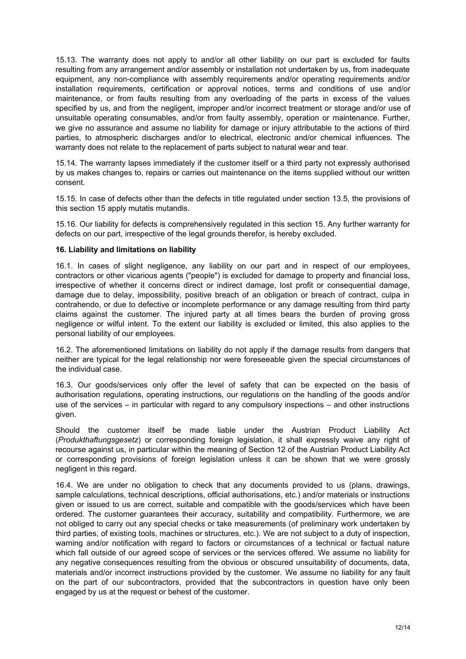15.13. The warranty does not apply to and/or all other liability on our part is excluded for faults resulting from any arrangement and/or assembly or installation not undertaken by us, from inadequate equipment, any non-compliance with assembly requirements and/or operating requirements and/or installation requirements, certification or approval notices, terms and conditions of use and/or maintenance, or from faults resulting from any overloading of the parts in excess of the values specified by us, and from the negligent, improper and/or incorrect treatment or storage and/or use of unsuitable operating consumables, and/or from faulty assembly, operation or maintenance. Further, we give no assurance and assume no liability for damage or injury attributable to the actions of third parties, to atmospheric discharges and/or to electrical, electronic and/or chemical influences. The warranty does not relate to the replacement of parts subject to natural wear and tear.

15.14. The warranty lapses immediately if the customer itself or a third party not expressly authorised by us makes changes to, repairs or carries out maintenance on the items supplied without our written consent.

15.15. In case of defects other than the defects in title regulated under section 13.5, the provisions of this section 15 apply mutatis mutandis.

15.16. Our liability for defects is comprehensively regulated in this section 15. Any further warranty for defects on our part, irrespective of the legal grounds therefor, is hereby excluded.

#### **16. Liability and limitations on liability**

16.1. In cases of slight negligence, any liability on our part and in respect of our employees, contractors or other vicarious agents ("people") is excluded for damage to property and financial loss, irrespective of whether it concerns direct or indirect damage, lost profit or consequential damage, damage due to delay, impossibility, positive breach of an obligation or breach of contract, culpa in contrahendo, or due to defective or incomplete performance or any damage resulting from third party claims against the customer. The injured party at all times bears the burden of proving gross negligence or wilful intent. To the extent our liability is excluded or limited, this also applies to the personal liability of our employees.

16.2. The aforementioned limitations on liability do not apply if the damage results from dangers that neither are typical for the legal relationship nor were foreseeable given the special circumstances of the individual case.

16.3. Our goods/services only offer the level of safety that can be expected on the basis of authorisation regulations, operating instructions, our regulations on the handling of the goods and/or use of the services – in particular with regard to any compulsory inspections – and other instructions given.

Should the customer itself be made liable under the Austrian Product Liability Act (*Produkthaftungsgesetz*) or corresponding foreign legislation, it shall expressly waive any right of recourse against us, in particular within the meaning of Section 12 of the Austrian Product Liability Act or corresponding provisions of foreign legislation unless it can be shown that we were grossly negligent in this regard.

16.4. We are under no obligation to check that any documents provided to us (plans, drawings, sample calculations, technical descriptions, official authorisations, etc.) and/or materials or instructions given or issued to us are correct, suitable and compatible with the goods/services which have been ordered. The customer guarantees their accuracy, suitability and compatibility. Furthermore, we are not obliged to carry out any special checks or take measurements (of preliminary work undertaken by third parties, of existing tools, machines or structures, etc.). We are not subject to a duty of inspection, warning and/or notification with regard to factors or circumstances of a technical or factual nature which fall outside of our agreed scope of services or the services offered. We assume no liability for any negative consequences resulting from the obvious or obscured unsuitability of documents, data, materials and/or incorrect instructions provided by the customer. We assume no liability for any fault on the part of our subcontractors, provided that the subcontractors in question have only been engaged by us at the request or behest of the customer.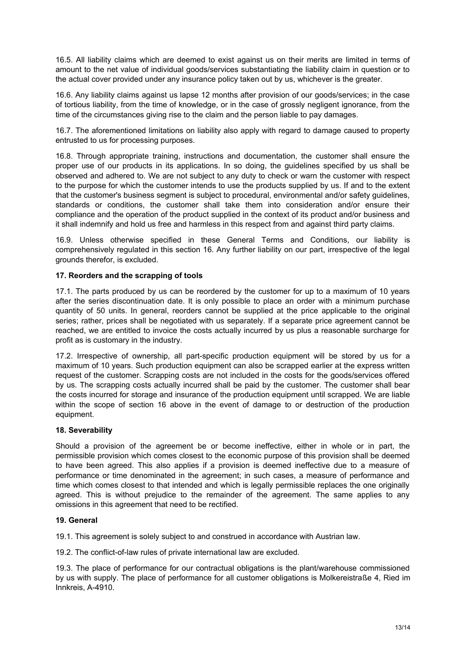16.5. All liability claims which are deemed to exist against us on their merits are limited in terms of amount to the net value of individual goods/services substantiating the liability claim in question or to the actual cover provided under any insurance policy taken out by us, whichever is the greater.

16.6. Any liability claims against us lapse 12 months after provision of our goods/services; in the case of tortious liability, from the time of knowledge, or in the case of grossly negligent ignorance, from the time of the circumstances giving rise to the claim and the person liable to pay damages.

16.7. The aforementioned limitations on liability also apply with regard to damage caused to property entrusted to us for processing purposes.

16.8. Through appropriate training, instructions and documentation, the customer shall ensure the proper use of our products in its applications. In so doing, the guidelines specified by us shall be observed and adhered to. We are not subject to any duty to check or warn the customer with respect to the purpose for which the customer intends to use the products supplied by us. If and to the extent that the customer's business segment is subject to procedural, environmental and/or safety guidelines, standards or conditions, the customer shall take them into consideration and/or ensure their compliance and the operation of the product supplied in the context of its product and/or business and it shall indemnify and hold us free and harmless in this respect from and against third party claims.

16.9. Unless otherwise specified in these General Terms and Conditions, our liability is comprehensively regulated in this section 16. Any further liability on our part, irrespective of the legal grounds therefor, is excluded.

### **17. Reorders and the scrapping of tools**

17.1. The parts produced by us can be reordered by the customer for up to a maximum of 10 years after the series discontinuation date. It is only possible to place an order with a minimum purchase quantity of 50 units. In general, reorders cannot be supplied at the price applicable to the original series; rather, prices shall be negotiated with us separately. If a separate price agreement cannot be reached, we are entitled to invoice the costs actually incurred by us plus a reasonable surcharge for profit as is customary in the industry.

17.2. Irrespective of ownership, all part-specific production equipment will be stored by us for a maximum of 10 years. Such production equipment can also be scrapped earlier at the express written request of the customer. Scrapping costs are not included in the costs for the goods/services offered by us. The scrapping costs actually incurred shall be paid by the customer. The customer shall bear the costs incurred for storage and insurance of the production equipment until scrapped. We are liable within the scope of section 16 above in the event of damage to or destruction of the production equipment.

### **18. Severability**

Should a provision of the agreement be or become ineffective, either in whole or in part, the permissible provision which comes closest to the economic purpose of this provision shall be deemed to have been agreed. This also applies if a provision is deemed ineffective due to a measure of performance or time denominated in the agreement; in such cases, a measure of performance and time which comes closest to that intended and which is legally permissible replaces the one originally agreed. This is without prejudice to the remainder of the agreement. The same applies to any omissions in this agreement that need to be rectified.

### **19. General**

19.1. This agreement is solely subject to and construed in accordance with Austrian law.

19.2. The conflict-of-law rules of private international law are excluded.

19.3. The place of performance for our contractual obligations is the plant/warehouse commissioned by us with supply. The place of performance for all customer obligations is Molkereistraße 4, Ried im Innkreis, A-4910.